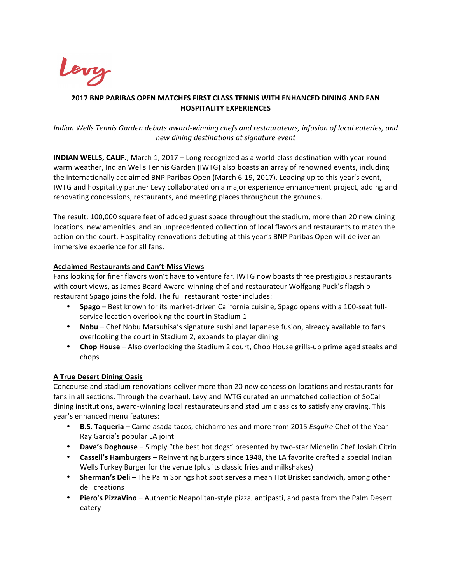

# **2017 BNP PARIBAS OPEN MATCHES FIRST CLASS TENNIS WITH ENHANCED DINING AND FAN HOSPITALITY EXPERIENCES**

# *Indian* Wells Tennis Garden debuts award-winning chefs and restaurateurs, infusion of local eateries, and *new dining destinations at signature event*

**INDIAN WELLS, CALIF.**, March 1, 2017 – Long recognized as a world-class destination with year-round warm weather, Indian Wells Tennis Garden (IWTG) also boasts an array of renowned events, including the internationally acclaimed BNP Paribas Open (March 6-19, 2017). Leading up to this year's event, IWTG and hospitality partner Levy collaborated on a major experience enhancement project, adding and renovating concessions, restaurants, and meeting places throughout the grounds.

The result: 100,000 square feet of added guest space throughout the stadium, more than 20 new dining locations, new amenities, and an unprecedented collection of local flavors and restaurants to match the action on the court. Hospitality renovations debuting at this year's BNP Paribas Open will deliver an immersive experience for all fans.

# **Acclaimed Restaurants and Can't-Miss Views**

Fans looking for finer flavors won't have to venture far. IWTG now boasts three prestigious restaurants with court views, as James Beard Award-winning chef and restaurateur Wolfgang Puck's flagship restaurant Spago joins the fold. The full restaurant roster includes:

- Spago Best known for its market-driven California cuisine, Spago opens with a 100-seat fullservice location overlooking the court in Stadium 1
- **Nobu** Chef Nobu Matsuhisa's signature sushi and Japanese fusion, already available to fans overlooking the court in Stadium 2, expands to player dining
- Chop House Also overlooking the Stadium 2 court, Chop House grills-up prime aged steaks and chops

# **A True Desert Dining Oasis**

Concourse and stadium renovations deliver more than 20 new concession locations and restaurants for fans in all sections. Through the overhaul, Levy and IWTG curated an unmatched collection of SoCal dining institutions, award-winning local restaurateurs and stadium classics to satisfy any craving. This year's enhanced menu features:

- **B.S. Taqueria** Carne asada tacos, chicharrones and more from 2015 *Esquire* Chef of the Year Ray Garcia's popular LA joint
- **Dave's Doghouse** Simply "the best hot dogs" presented by two-star Michelin Chef Josiah Citrin
- **Cassell's Hamburgers** Reinventing burgers since 1948, the LA favorite crafted a special Indian Wells Turkey Burger for the venue (plus its classic fries and milkshakes)
- **Sherman's Deli** The Palm Springs hot spot serves a mean Hot Brisket sandwich, among other deli creations
- Piero's PizzaVino Authentic Neapolitan-style pizza, antipasti, and pasta from the Palm Desert eatery